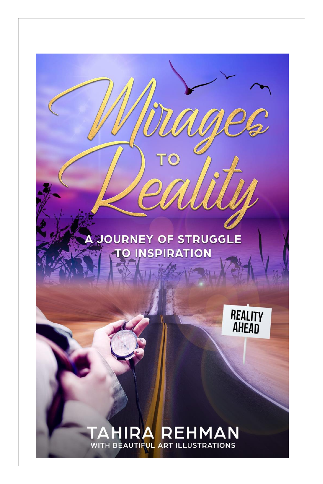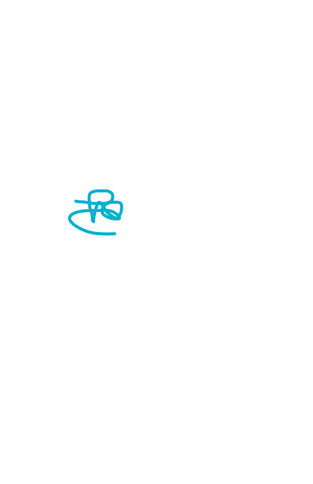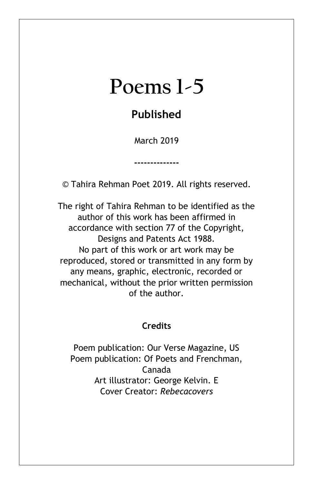#### **Poems 1-5**

#### **Published**

March 2019

© Tahira Rehman Poet 2019. All rights reserved.

**--------------**

The right of Tahira Rehman to be identified as the author of this work has been affirmed in accordance with section 77 of the Copyright, Designs and Patents Act 1988. No part of this work or art work may be reproduced, stored or transmitted in any form by any means, graphic, electronic, recorded or mechanical, without the prior written permission of the author.

#### **Credits**

Poem publication: Our Verse Magazine, US Poem publication: Of Poets and Frenchman, Canada Art illustrator: George Kelvin. E Cover Creator: *Rebecacovers*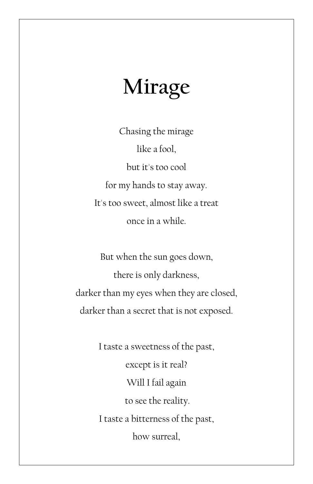#### **Mirage**

Chasing the mirage like a fool, but it's too cool for my hands to stay away. It's too sweet, almost like a treat once in a while.

But when the sun goes down, there is only darkness, darker than my eyes when they are closed, darker than a secret that is not exposed.

> I taste a sweetness of the past, except is it real? Will I fail again to see the reality. I taste a bitterness of the past, how surreal,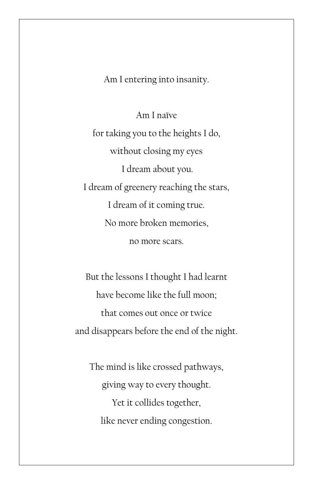Am I entering into insanity.

Am I naïve for taking you to the heights I do, without closing my eyes I dream about you. I dream of greenery reaching the stars, I dream of it coming true. No more broken memories, no more scars.

But the lessons I thought I had learnt have become like the full moon; that comes out once or twice and disappears before the end of the night.

The mind is like crossed pathways, giving way to every thought. Yet it collides together, like never ending congestion.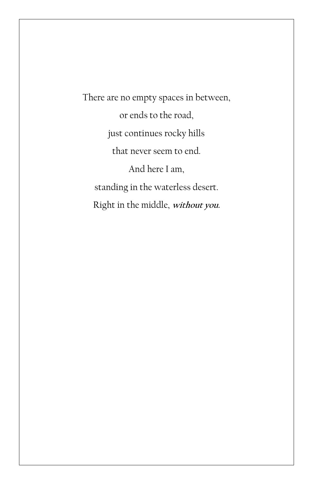There are no empty spaces in between, or ends to the road, just continues rocky hills that never seem to end. And here I am, standing in the waterless desert. Right in the middle, **without you.**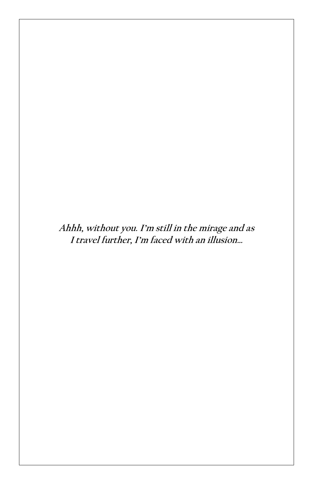**Ahhh, without you. I'm still in the mirage and as I travel further, I'm faced with an illusion…**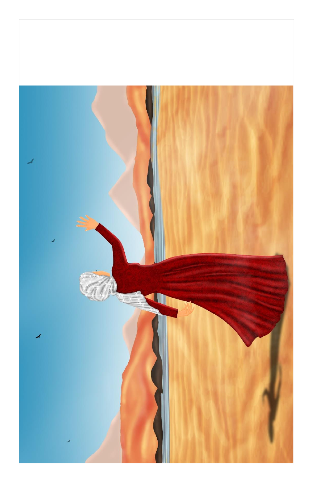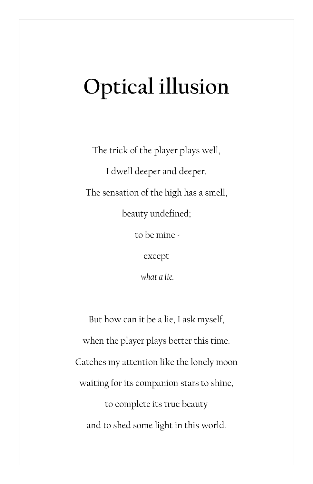## **Optical illusion**

The trick of the player plays well, I dwell deeper and deeper. The sensation of the high has a smell, beauty undefined; to be mine -

except

*what a lie.*

But how can it be a lie, I ask myself, when the player plays better this time. Catches my attention like the lonely moon waiting for its companion stars to shine, to complete its true beauty and to shed some light in this world.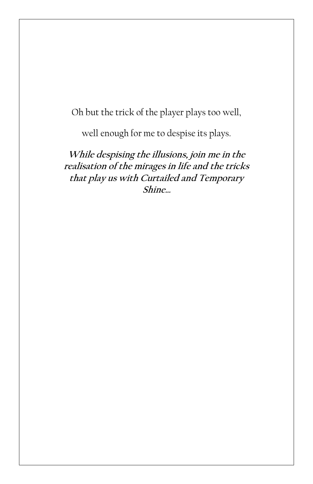Oh but the trick of the player plays too well,

well enough for me to despise its plays.

**While despising the illusions, join me in the realisation of the mirages in life and the tricks that play us with Curtailed and Temporary Shine…**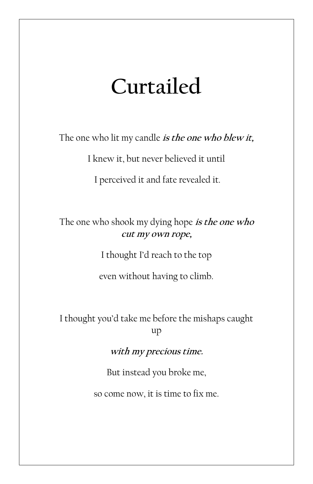#### **[Curtailed](https://www.facebook.com/notes/tahira-alia-rehman/curtailed/10150199719462272/)**

The one who lit my candle **is the one who blew it,**

I knew it, but never believed it until

I perceived it and fate revealed it.

The one who shook my dying hope **is the one who cut my own rope,**

I thought I'd reach to the top

even without having to climb.

I thought you'd take me before the mishaps caught up

**with my precious time.**

But instead you broke me,

so come now, it is time to fix me.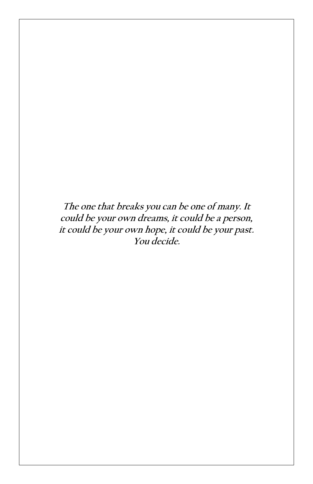**The one that breaks you can be one of many. It could be your own dreams, it could be a person, it could be your own hope, it could be your past. You decide.**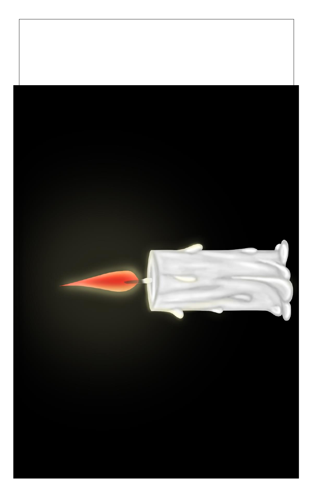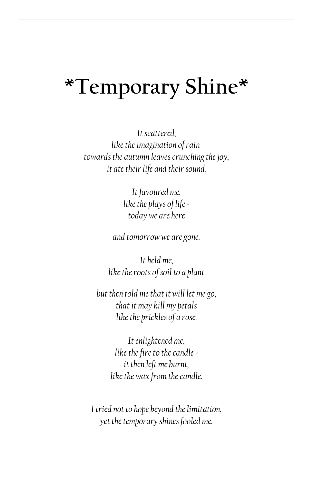# **[\\*Temporary Shine\\*](https://www.facebook.com/notes/tahira-alia-rehman/temporary-shine/83821897271/)**

*It scattered, like the imagination of rain towards the autumn leaves crunching the joy, it ate their life and their sound.*

> *It favoured me, like the plays of life today we are here*

*and tomorrow we are gone.*

*It held me, like the roots of soil to a plant*

*but then told me that it will let me go, that it may kill my petals like the prickles of a rose.*

> *It enlightened me, like the fire to the candle it then left me burnt, like the wax from the candle.*

*I tried not to hope beyond the limitation, yet the temporary shines fooled me.*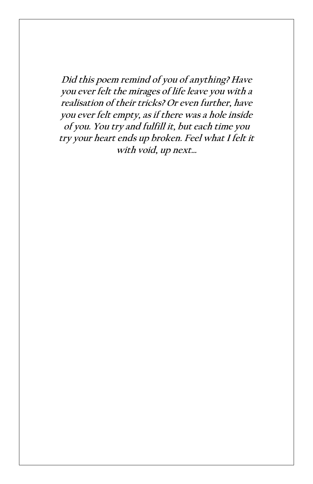**Did this poem remind of you of anything? Have you ever felt the mirages of life leave you with a realisation of their tricks? Or even further, have you ever felt empty, as if there was a hole inside of you. You try and fulfill it, but each time you try your heart ends up broken. Feel what I felt it with void, up next…**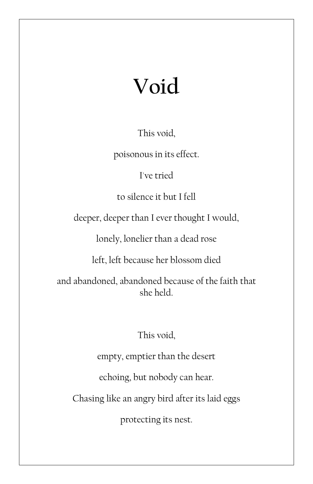## **Void**

This void,

poisonous in its effect.

I've tried

to silence it but I fell

deeper, deeper than I ever thought I would,

lonely, lonelier than a dead rose

left, left because her blossom died

and abandoned, abandoned because of the faith that she held.

This void,

empty, emptier than the desert

echoing, but nobody can hear.

Chasing like an angry bird after its laid eggs

protecting its nest.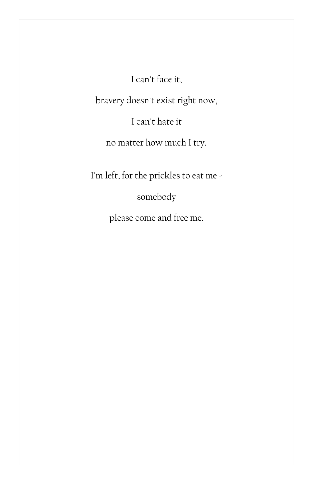I can't face it,

bravery doesn't exist right now,

I can't hate it

no matter how much I try.

I'm left, for the prickles to eat me -

somebody

please come and free me.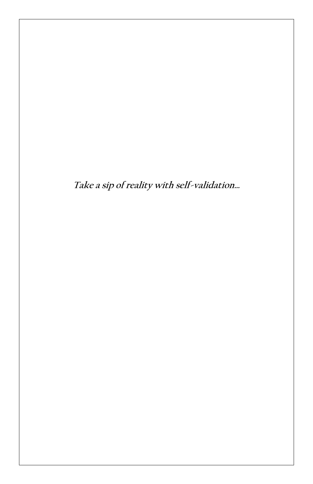Take a sip of reality with self-validation...